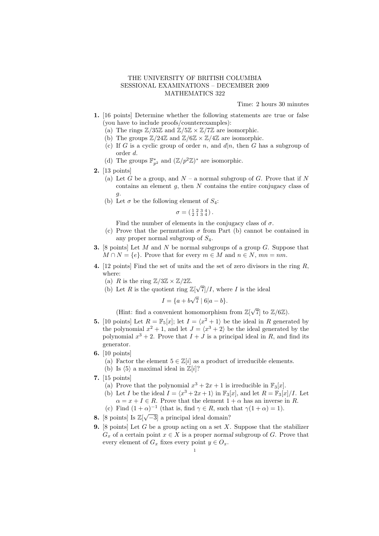## THE UNIVERSITY OF BRITISH COLUMBIA SESSIONAL EXAMINATIONS – DECEMBER 2009 MATHEMATICS 322

Time: 2 hours 30 minutes

- 1. [16 points] Determine whether the following statements are true or false (you have to include proofs/counterexamples):
	- (a) The rings  $\mathbb{Z}/35\mathbb{Z}$  and  $\mathbb{Z}/5\mathbb{Z} \times \mathbb{Z}/7\mathbb{Z}$  are isomorphic.
	- (b) The groups  $\mathbb{Z}/24\mathbb{Z}$  and  $\mathbb{Z}/6\mathbb{Z} \times \mathbb{Z}/4\mathbb{Z}$  are isomorphic.
	- (c) If G is a cyclic group of order n, and  $d|n$ , then G has a subgroup of order d.
	- (d) The groups  $\mathbb{F}_{p^2}^*$  and  $(\mathbb{Z}/p^2\mathbb{Z})^*$  are isomorphic.
- 2. [13 points]
	- (a) Let G be a group, and  $N a$  normal subgroup of G. Prove that if N contains an element  $q$ , then  $N$  contains the entire conjugacy class of  $\overline{g}$ .
	- (b) Let  $\sigma$  be the following element of  $S_4$ :

$$
\sigma = (\begin{smallmatrix} 1 & 2 & 3 & 4 \\ 2 & 1 & 3 & 4 \end{smallmatrix}).
$$

Find the number of elements in the conjugacy class of  $\sigma$ .

- (c) Prove that the permutation  $\sigma$  from Part (b) cannot be contained in any proper normal subgroup of  $S_4$ .
- **3.** [8 points] Let M and N be normal subgroups of a group  $G$ . Suppose that  $M \cap N = \{e\}.$  Prove that for every  $m \in M$  and  $n \in N$ ,  $mn = nm$ .
- 4. [12 points] Find the set of units and the set of zero divisors in the ring  $R$ , where:
	- (a) R is the ring  $\mathbb{Z}/3\mathbb{Z} \times \mathbb{Z}/2\mathbb{Z}$ .
	- (a) *R* is the ring  $\mathbb{Z}/3\mathbb{Z} \times \mathbb{Z}/2\mathbb{Z}$ .<br>(b) Let *R* is the quotient ring  $\mathbb{Z}[\sqrt{2}]$  $7/1$ , where I is the ideal

$$
I = \{a + b\sqrt{7} \mid 6|a - b\}.
$$

(Hint: find a convenient homomorphism from  $\mathbb{Z}[\sqrt{7}]$  to  $\mathbb{Z}/6\mathbb{Z}$ ).

- **5.** [10 points] Let  $R = \mathbb{F}_5[x]$ ; let  $I = \langle x^2 + 1 \rangle$  be the ideal in R generated by the polynomial  $x^2 + 1$ , and let  $J = \langle x^3 + 2 \rangle$  be the ideal generated by the polynomial  $x^3 + 2$ . Prove that  $I + J$  is a principal ideal in R, and find its generator.
- 6. [10 points]
	- (a) Factor the element  $5 \in \mathbb{Z}[i]$  as a product of irreducible elements.
	- (b) Is  $\langle 5 \rangle$  a maximal ideal in  $\mathbb{Z}[i]$ ?
- 7. [15 points]
	- (a) Prove that the polynomial  $x^3 + 2x + 1$  is irreducible in  $\mathbb{F}_3[x]$ .
	- (b) Let I be the ideal  $I = \langle x^3 + 2x + 1 \rangle$  in  $\mathbb{F}_3[x]$ , and let  $R = \mathbb{F}_3[x]/I$ . Let  $\alpha = x + I \in R$ . Prove that the element  $1 + \alpha$  has an inverse in R.
	- (c) Find  $(1+\alpha)^{-1}$  (that is, find  $\gamma \in R$ , such that  $\gamma(1+\alpha) = 1$ ).
- 8. [8 points] Is  $\mathbb{Z}[\sqrt{-3}]$  a principal ideal domain?
- **9.** [8 points] Let G be a group acting on a set X. Suppose that the stabilizer  $G_x$  of a certain point  $x \in X$  is a proper normal subgroup of G. Prove that every element of  $G_x$  fixes every point  $y \in O_x$ .